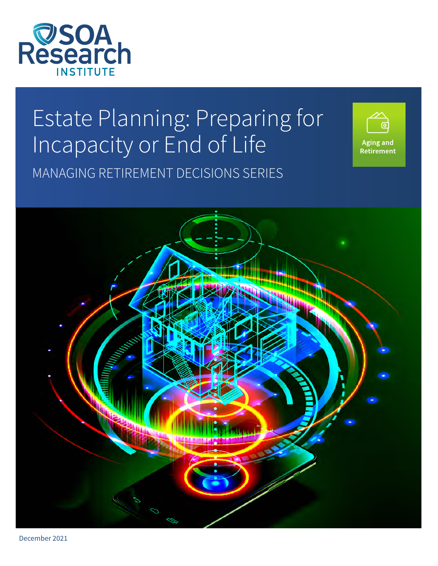

# Estate Planning: Preparing for Incapacity or End of Life MANAGING RETIREMENT DECISIONS SERIES





December 2021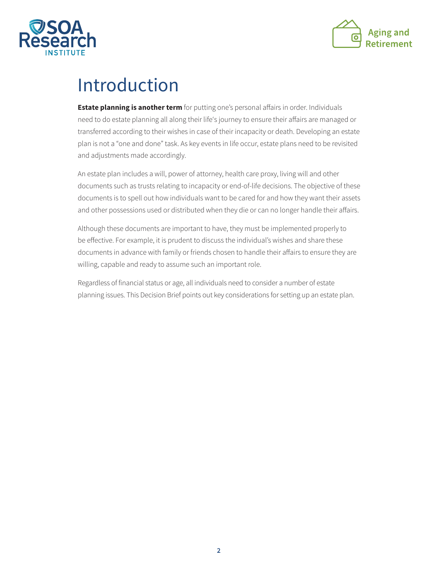



### Introduction

**Estate planning is another term** for putting one's personal affairs in order. Individuals need to do estate planning all along their life's journey to ensure their affairs are managed or transferred according to their wishes in case of their incapacity or death. Developing an estate plan is not a "one and done" task. As key events in life occur, estate plans need to be revisited and adjustments made accordingly.

An estate plan includes a will, power of attorney, health care proxy, living will and other documents such as trusts relating to incapacity or end-of-life decisions. The objective of these documents is to spell out how individuals want to be cared for and how they want their assets and other possessions used or distributed when they die or can no longer handle their affairs.

Although these documents are important to have, they must be implemented properly to be effective. For example, it is prudent to discuss the individual's wishes and share these documents in advance with family or friends chosen to handle their affairs to ensure they are willing, capable and ready to assume such an important role.

Regardless of financial status or age, all individuals need to consider a number of estate planning issues. This Decision Brief points out key considerations for setting up an estate plan.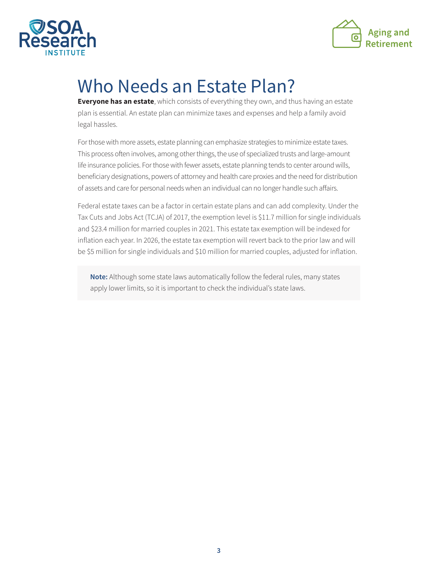



## Who Needs an Estate Plan?

**Everyone has an estate**, which consists of everything they own, and thus having an estate plan is essential. An estate plan can minimize taxes and expenses and help a family avoid legal hassles.

For those with more assets, estate planning can emphasize strategies to minimize estate taxes. This process often involves, among other things, the use of specialized trusts and large-amount life insurance policies. For those with fewer assets, estate planning tends to center around wills, beneficiary designations, powers of attorney and health care proxies and the need for distribution of assets and care for personal needs when an individual can no longer handle such affairs.

Federal estate taxes can be a factor in certain estate plans and can add complexity. Under the Tax Cuts and Jobs Act (TCJA) of 2017, the exemption level is \$11.7 million for single individuals and \$23.4 million for married couples in 2021. This estate tax exemption will be indexed for inflation each year. In 2026, the estate tax exemption will revert back to the prior law and will be \$5 million for single individuals and \$10 million for married couples, adjusted for inflation.

**Note:** Although some state laws automatically follow the federal rules, many states apply lower limits, so it is important to check the individual's state laws.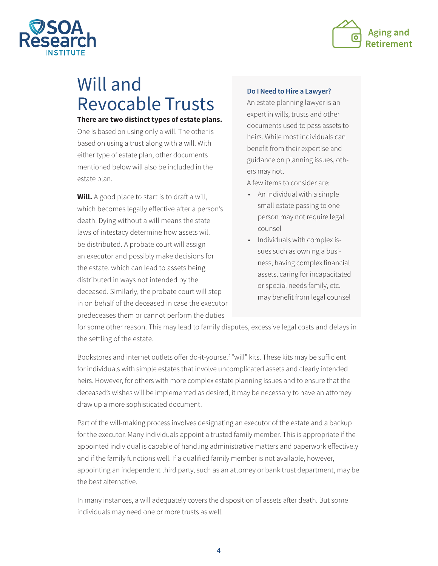



### Will and Revocable Trusts

#### **There are two distinct types of estate plans.**

One is based on using only a will. The other is based on using a trust along with a will. With either type of estate plan, other documents mentioned below will also be included in the estate plan.

**Will.** A good place to start is to draft a will, which becomes legally effective after a person's death. Dying without a will means the state laws of intestacy determine how assets will be distributed. A probate court will assign an executor and possibly make decisions for the estate, which can lead to assets being distributed in ways not intended by the deceased. Similarly, the probate court will step in on behalf of the deceased in case the executor predeceases them or cannot perform the duties

#### **Do I Need to Hire a Lawyer?**

An estate planning lawyer is an expert in wills, trusts and other documents used to pass assets to heirs. While most individuals can benefit from their expertise and guidance on planning issues, others may not.

A few items to consider are:

- An individual with a simple small estate passing to one person may not require legal counsel
- Individuals with complex issues such as owning a business, having complex financial assets, caring for incapacitated or special needs family, etc. may benefit from legal counsel

for some other reason. This may lead to family disputes, excessive legal costs and delays in the settling of the estate.

Bookstores and internet outlets offer do-it-yourself "will" kits. These kits may be sufficient for individuals with simple estates that involve uncomplicated assets and clearly intended heirs. However, for others with more complex estate planning issues and to ensure that the deceased's wishes will be implemented as desired, it may be necessary to have an attorney draw up a more sophisticated document.

Part of the will-making process involves designating an executor of the estate and a backup for the executor. Many individuals appoint a trusted family member. This is appropriate if the appointed individual is capable of handling administrative matters and paperwork effectively and if the family functions well. If a qualified family member is not available, however, appointing an independent third party, such as an attorney or bank trust department, may be the best alternative.

In many instances, a will adequately covers the disposition of assets after death. But some individuals may need one or more trusts as well.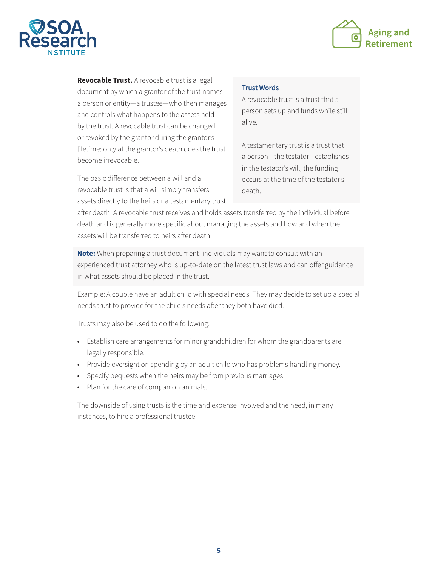



**Revocable Trust.** A revocable trust is a legal document by which a grantor of the trust names a person or entity—a trustee—who then manages and controls what happens to the assets held by the trust. A revocable trust can be changed or revoked by the grantor during the grantor's lifetime; only at the grantor's death does the trust become irrevocable.

The basic difference between a will and a revocable trust is that a will simply transfers assets directly to the heirs or a testamentary trust

#### **Trust Words**

A revocable trust is a trust that a person sets up and funds while still alive.

A testamentary trust is a trust that a person—the testator—establishes in the testator's will; the funding occurs at the time of the testator's death.

after death. A revocable trust receives and holds assets transferred by the individual before death and is generally more specific about managing the assets and how and when the assets will be transferred to heirs after death.

**Note:** When preparing a trust document, individuals may want to consult with an experienced trust attorney who is up-to-date on the latest trust laws and can offer guidance in what assets should be placed in the trust.

Example: A couple have an adult child with special needs. They may decide to set up a special needs trust to provide for the child's needs after they both have died.

Trusts may also be used to do the following:

- Establish care arrangements for minor grandchildren for whom the grandparents are legally responsible.
- Provide oversight on spending by an adult child who has problems handling money.
- Specify bequests when the heirs may be from previous marriages.
- Plan for the care of companion animals.

The downside of using trusts is the time and expense involved and the need, in many instances, to hire a professional trustee.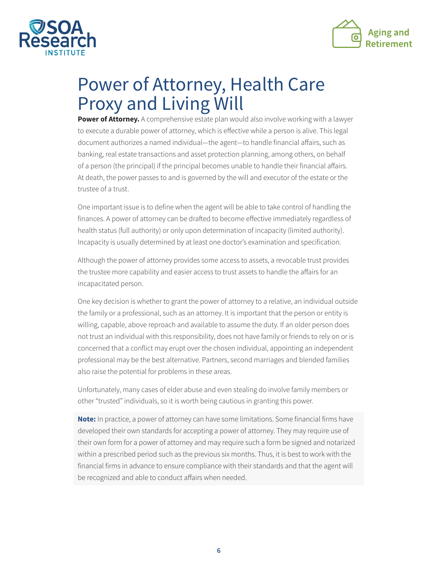



### Power of Attorney, Health Care Proxy and Living Will

**Power of Attorney.** A comprehensive estate plan would also involve working with a lawyer to execute a durable power of attorney, which is effective while a person is alive. This legal document authorizes a named individual—the agent—to handle financial affairs, such as banking, real estate transactions and asset protection planning, among others, on behalf of a person (the principal) if the principal becomes unable to handle their financial affairs. At death, the power passes to and is governed by the will and executor of the estate or the trustee of a trust.

One important issue is to define when the agent will be able to take control of handling the finances. A power of attorney can be drafted to become effective immediately regardless of health status (full authority) or only upon determination of incapacity (limited authority). Incapacity is usually determined by at least one doctor's examination and specification.

Although the power of attorney provides some access to assets, a revocable trust provides the trustee more capability and easier access to trust assets to handle the affairs for an incapacitated person.

One key decision is whether to grant the power of attorney to a relative, an individual outside the family or a professional, such as an attorney. It is important that the person or entity is willing, capable, above reproach and available to assume the duty. If an older person does not trust an individual with this responsibility, does not have family or friends to rely on or is concerned that a conflict may erupt over the chosen individual, appointing an independent professional may be the best alternative. Partners, second marriages and blended families also raise the potential for problems in these areas.

Unfortunately, many cases of elder abuse and even stealing do involve family members or other "trusted" individuals, so it is worth being cautious in granting this power.

**Note:** In practice, a power of attorney can have some limitations. Some financial firms have developed their own standards for accepting a power of attorney. They may require use of their own form for a power of attorney and may require such a form be signed and notarized within a prescribed period such as the previous six months. Thus, it is best to work with the financial firms in advance to ensure compliance with their standards and that the agent will be recognized and able to conduct affairs when needed.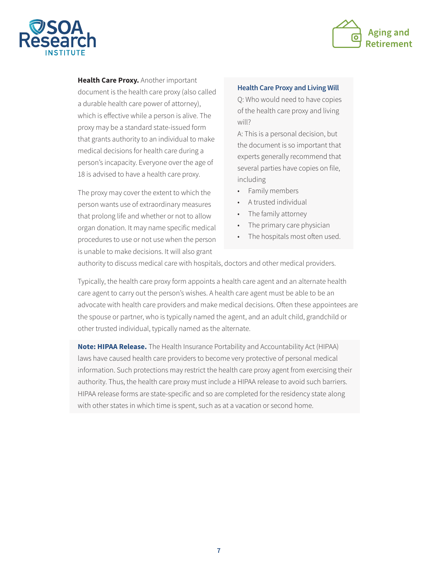



**Health Care Proxy.** Another important document is the health care proxy (also called a durable health care power of attorney), which is effective while a person is alive. The proxy may be a standard state-issued form that grants authority to an individual to make medical decisions for health care during a person's incapacity. Everyone over the age of 18 is advised to have a health care proxy.

The proxy may cover the extent to which the person wants use of extraordinary measures that prolong life and whether or not to allow organ donation. It may name specific medical procedures to use or not use when the person is unable to make decisions. It will also grant

#### **Health Care Proxy and Living Will**

Q: Who would need to have copies of the health care proxy and living will?

A: This is a personal decision, but the document is so important that experts generally recommend that several parties have copies on file, including

- Family members
- A trusted individual
- The family attorney
- The primary care physician
- The hospitals most often used.

authority to discuss medical care with hospitals, doctors and other medical providers.

Typically, the health care proxy form appoints a health care agent and an alternate health care agent to carry out the person's wishes. A health care agent must be able to be an advocate with health care providers and make medical decisions. Often these appointees are the spouse or partner, who is typically named the agent, and an adult child, grandchild or other trusted individual, typically named as the alternate.

**Note: HIPAA Release.** The Health Insurance Portability and Accountability Act (HIPAA) laws have caused health care providers to become very protective of personal medical information. Such protections may restrict the health care proxy agent from exercising their authority. Thus, the health care proxy must include a HIPAA release to avoid such barriers. HIPAA release forms are state-specific and so are completed for the residency state along with other states in which time is spent, such as at a vacation or second home.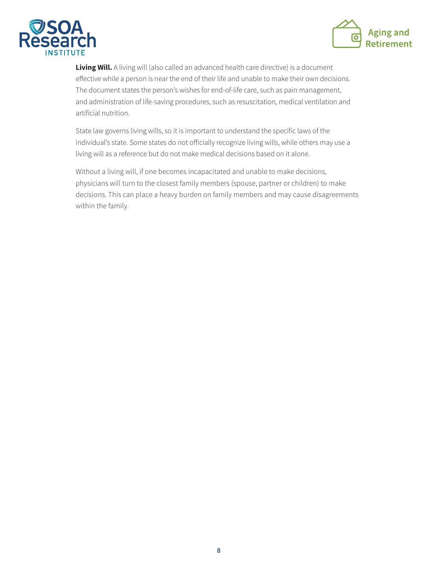



**Living Will.** A living will (also called an advanced health care directive) is a document effective while a person is near the end of their life and unable to make their own decisions. The document states the person's wishes for end-of-life care, such as pain management, and administration of life-saving procedures, such as resuscitation, medical ventilation and artificial nutrition.

State law governs living wills, so it is important to understand the specific laws of the individual's state. Some states do not officially recognize living wills, while others may use a living will as a reference but do not make medical decisions based on it alone.

Without a living will, if one becomes incapacitated and unable to make decisions, physicians will turn to the closest family members (spouse, partner or children) to make decisions. This can place a heavy burden on family members and may cause disagreements within the family.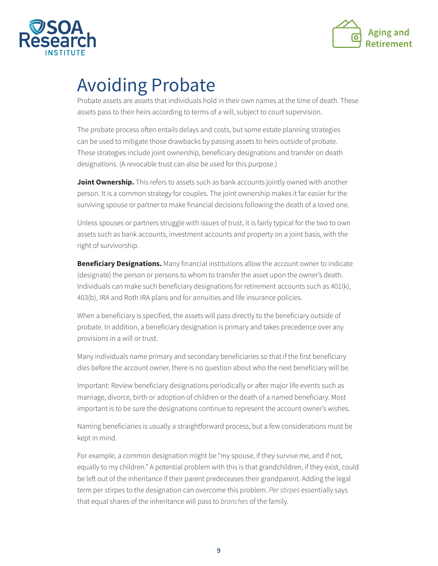



### Avoiding Probate

Probate assets are assets that individuals hold in their own names at the time of death. These assets pass to their heirs according to terms of a will, subject to court supervision.

The probate process often entails delays and costs, but some estate planning strategies can be used to mitigate those drawbacks by passing assets to heirs outside of probate. These strategies include joint ownership, beneficiary designations and transfer on death designations. (A revocable trust can also be used for this purpose.)

**Joint Ownership.** This refers to assets such as bank accounts jointly owned with another person. It is a common strategy for couples. The joint ownership makes it far easier for the surviving spouse or partner to make financial decisions following the death of a loved one.

Unless spouses or partners struggle with issues of trust, it is fairly typical for the two to own assets such as bank accounts, investment accounts and property on a joint basis, with the right of survivorship.

**Beneficiary Designations.** Many financial institutions allow the account owner to indicate (designate) the person or persons to whom to transfer the asset upon the owner's death. Individuals can make such beneficiary designations for retirement accounts such as 401(k), 403(b), IRA and Roth IRA plans and for annuities and life insurance policies.

When a beneficiary is specified, the assets will pass directly to the beneficiary outside of probate. In addition, a beneficiary designation is primary and takes precedence over any provisions in a will or trust.

Many individuals name primary and secondary beneficiaries so that if the first beneficiary dies before the account owner, there is no question about who the next beneficiary will be.

Important: Review beneficiary designations periodically or after major life events such as marriage, divorce, birth or adoption of children or the death of a named beneficiary. Most important is to be sure the designations continue to represent the account owner's wishes.

Naming beneficiaries is usually a straightforward process, but a few considerations must be kept in mind.

For example, a common designation might be "my spouse, if they survive me, and if not, equally to my children." A potential problem with this is that grandchildren, if they exist, could be left out of the inheritance if their parent predeceases their grandparent. Adding the legal term per stirpes to the designation can overcome this problem. *Per stirpes* essentially says that equal shares of the inheritance will pass to *branches* of the family.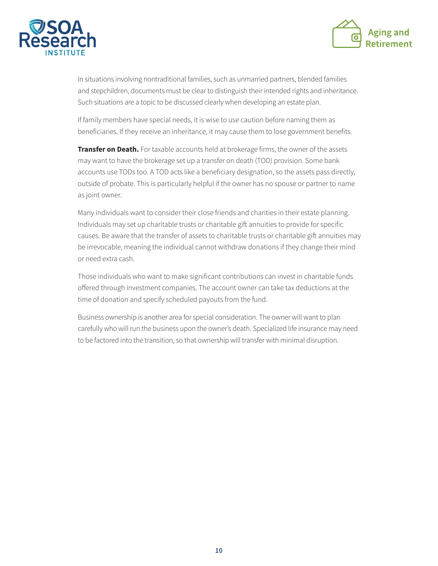



In situations involving nontraditional families, such as unmarried partners, blended families and stepchildren, documents must be clear to distinguish their intended rights and inheritance. Such situations are a topic to be discussed clearly when developing an estate plan.

If family members have special needs, it is wise to use caution before naming them as beneficiaries. If they receive an inheritance, it may cause them to lose government benefits.

**Transfer on Death.** For taxable accounts held at brokerage firms, the owner of the assets may want to have the brokerage set up a transfer on death (TOD) provision. Some bank accounts use TODs too. A TOD acts like a beneficiary designation, so the assets pass directly, outside of probate. This is particularly helpful if the owner has no spouse or partner to name as joint owner.

Many individuals want to consider their close friends and charities in their estate planning. Individuals may set up charitable trusts or charitable gift annuities to provide for specific causes. Be aware that the transfer of assets to charitable trusts or charitable gift annuities may be irrevocable, meaning the individual cannot withdraw donations if they change their mind or need extra cash.

Those individuals who want to make significant contributions can invest in charitable funds offered through investment companies. The account owner can take tax deductions at the time of donation and specify scheduled payouts from the fund.

Business ownership is another area for special consideration. The owner will want to plan carefully who will run the business upon the owner's death. Specialized life insurance may need to be factored into the transition, so that ownership will transfer with minimal disruption.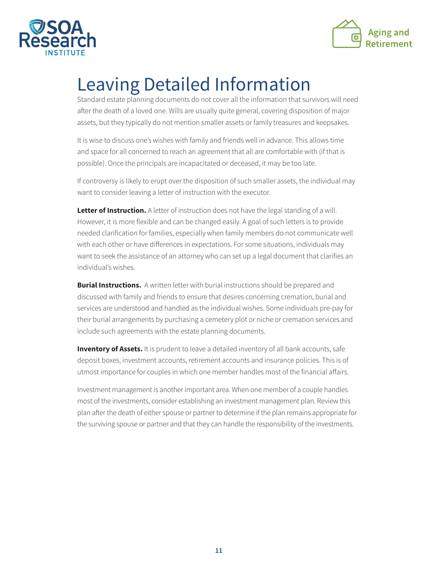



## Leaving Detailed Information

Standard estate planning documents do not cover all the information that survivors will need after the death of a loved one. Wills are usually quite general, covering disposition of major assets, but they typically do not mention smaller assets or family treasures and keepsakes.

It is wise to discuss one's wishes with family and friends well in advance. This allows time and space for all concerned to reach an agreement that all are comfortable with (if that is possible). Once the principals are incapacitated or deceased, it may be too late.

If controversy is likely to erupt over the disposition of such smaller assets, the individual may want to consider leaving a letter of instruction with the executor.

**Letter of Instruction.** A letter of instruction does not have the legal standing of a will. However, it is more flexible and can be changed easily. A goal of such letters is to provide needed clarification for families, especially when family members do not communicate well with each other or have differences in expectations. For some situations, individuals may want to seek the assistance of an attorney who can set up a legal document that clarifies an individual's wishes.

**Burial Instructions.** A written letter with burial instructions should be prepared and discussed with family and friends to ensure that desires concerning cremation, burial and services are understood and handled as the individual wishes. Some individuals pre-pay for their burial arrangements by purchasing a cemetery plot or niche or cremation services and include such agreements with the estate planning documents.

**Inventory of Assets.** It is prudent to leave a detailed inventory of all bank accounts, safe deposit boxes, investment accounts, retirement accounts and insurance policies. This is of utmost importance for couples in which one member handles most of the financial affairs.

Investment management is another important area. When one member of a couple handles most of the investments, consider establishing an investment management plan. Review this plan after the death of either spouse or partner to determine if the plan remains appropriate for the surviving spouse or partner and that they can handle the responsibility of the investments.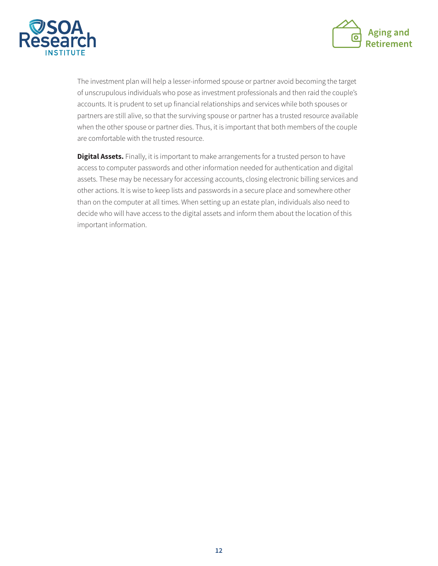



The investment plan will help a lesser-informed spouse or partner avoid becoming the target of unscrupulous individuals who pose as investment professionals and then raid the couple's accounts. It is prudent to set up financial relationships and services while both spouses or partners are still alive, so that the surviving spouse or partner has a trusted resource available when the other spouse or partner dies. Thus, it is important that both members of the couple are comfortable with the trusted resource.

**Digital Assets.** Finally, it is important to make arrangements for a trusted person to have access to computer passwords and other information needed for authentication and digital assets. These may be necessary for accessing accounts, closing electronic billing services and other actions. It is wise to keep lists and passwords in a secure place and somewhere other than on the computer at all times. When setting up an estate plan, individuals also need to decide who will have access to the digital assets and inform them about the location of this important information.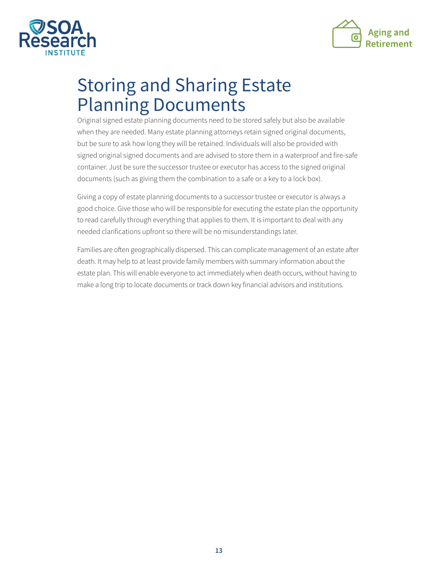



## Storing and Sharing Estate Planning Documents

Original signed estate planning documents need to be stored safely but also be available when they are needed. Many estate planning attorneys retain signed original documents, but be sure to ask how long they will be retained. Individuals will also be provided with signed original signed documents and are advised to store them in a waterproof and fire-safe container. Just be sure the successor trustee or executor has access to the signed original documents (such as giving them the combination to a safe or a key to a lock box).

Giving a copy of estate planning documents to a successor trustee or executor is always a good choice. Give those who will be responsible for executing the estate plan the opportunity to read carefully through everything that applies to them. It is important to deal with any needed clarifications upfront so there will be no misunderstandings later.

Families are often geographically dispersed. This can complicate management of an estate after death. It may help to at least provide family members with summary information about the estate plan. This will enable everyone to act immediately when death occurs, without having to make a long trip to locate documents or track down key financial advisors and institutions.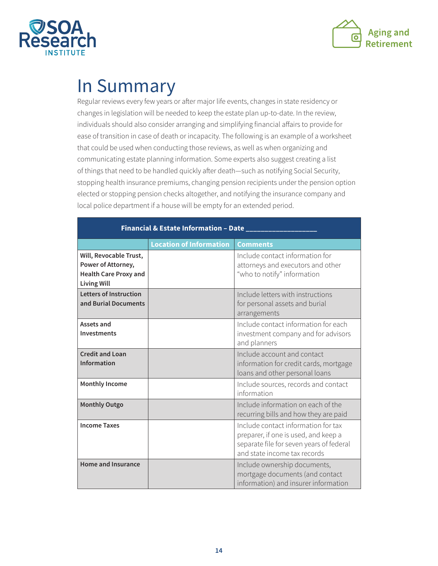



### In Summary

Regular reviews every few years or after major life events, changes in state residency or changes in legislation will be needed to keep the estate plan up-to-date. In the review, individuals should also consider arranging and simplifying financial affairs to provide for ease of transition in case of death or incapacity. The following is an example of a worksheet that could be used when conducting those reviews, as well as when organizing and communicating estate planning information. Some experts also suggest creating a list of things that need to be handled quickly after death—such as notifying Social Security, stopping health insurance premiums, changing pension recipients under the pension option elected or stopping pension checks altogether, and notifying the insurance company and local police department if a house will be empty for an extended period.

| Financial & Estate Information - Date ____                                                         |                                |                                                                                                                                                         |
|----------------------------------------------------------------------------------------------------|--------------------------------|---------------------------------------------------------------------------------------------------------------------------------------------------------|
|                                                                                                    | <b>Location of Information</b> | <b>Comments</b>                                                                                                                                         |
| Will, Revocable Trust,<br>Power of Attorney,<br><b>Health Care Proxy and</b><br><b>Living Will</b> |                                | Include contact information for<br>attorneys and executors and other<br>"who to notify" information                                                     |
| <b>Letters of Instruction</b><br>and Burial Documents                                              |                                | Include letters with instructions<br>for personal assets and burial<br>arrangements                                                                     |
| Assets and<br><b>Investments</b>                                                                   |                                | Include contact information for each<br>investment company and for advisors<br>and planners                                                             |
| <b>Credit and Loan</b><br><b>Information</b>                                                       |                                | Include account and contact<br>information for credit cards, mortgage<br>loans and other personal loans                                                 |
| <b>Monthly Income</b>                                                                              |                                | Include sources, records and contact<br>information                                                                                                     |
| <b>Monthly Outgo</b>                                                                               |                                | Include information on each of the<br>recurring bills and how they are paid                                                                             |
| <b>Income Taxes</b>                                                                                |                                | Include contact information for tax<br>preparer, if one is used, and keep a<br>separate file for seven years of federal<br>and state income tax records |
| <b>Home and Insurance</b>                                                                          |                                | Include ownership documents,<br>mortgage documents (and contact<br>information) and insurer information                                                 |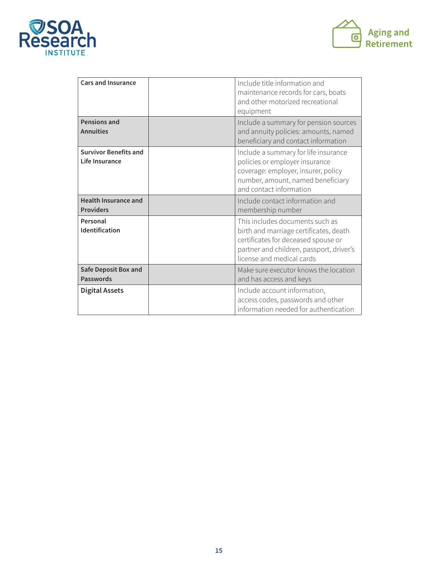



| <b>Cars and Insurance</b>                       | Include title information and<br>maintenance records for cars, boats<br>and other motorized recreational<br>equipment                                                                     |
|-------------------------------------------------|-------------------------------------------------------------------------------------------------------------------------------------------------------------------------------------------|
| Pensions and<br><b>Annuities</b>                | Include a summary for pension sources<br>and annuity policies: amounts, named<br>beneficiary and contact information                                                                      |
| <b>Survivor Benefits and</b><br>Life Insurance  | Include a summary for life insurance<br>policies or employer insurance<br>coverage: employer, insurer, policy<br>number, amount, named beneficiary<br>and contact information             |
| <b>Health Insurance and</b><br><b>Providers</b> | Include contact information and<br>membership number                                                                                                                                      |
| Personal<br>Identification                      | This includes documents such as<br>birth and marriage certificates, death<br>certificates for deceased spouse or<br>partner and children, passport, driver's<br>license and medical cards |
| <b>Safe Deposit Box and</b><br><b>Passwords</b> | Make sure executor knows the location<br>and has access and keys                                                                                                                          |
| <b>Digital Assets</b>                           | Include account information,<br>access codes, passwords and other<br>information needed for authentication                                                                                |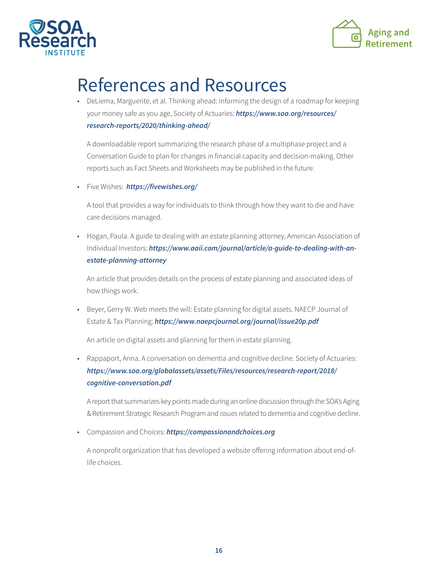



### References and Resources

• DeLiema, Marguerite, et al. Thinking ahead: Informing the design of a roadmap for keeping your money safe as you age, Society of Actuaries: *[https://www.soa.org/resources/](https://www.soa.org/resources/research-reports/2020/thinking-ahead/) [research-reports/2020/thinking-ahead/](https://www.soa.org/resources/research-reports/2020/thinking-ahead/)*

 A downloadable report summarizing the research phase of a multiphase project and a Conversation Guide to plan for changes in financial capacity and decision-making. Other reports such as Fact Sheets and Worksheets may be published in the future.

• Five Wishes: *<https://fivewishes.org/>*

 A tool that provides a way for individuals to think through how they want to die and have care decisions managed.

• Hogan, Paula. A guide to dealing with an estate planning attorney, American Association of Individual Investors: *[https://www.aaii.com/journal/article/a-guide-to-dealing-with-an](https://www.aaii.com/journal/article/a-guide-to-dealing-with-an-estate-planning-attorney)[estate-planning-attorney](https://www.aaii.com/journal/article/a-guide-to-dealing-with-an-estate-planning-attorney)*

 An article that provides details on the process of estate planning and associated ideas of how things work.

• Beyer, Gerry W. Web meets the will: Estate planning for digital assets. NAECP Journal of Estate & Tax Planning: *<https://www.naepcjournal.org/journal/issue20p.pdf>*

An article on digital assets and planning for them in estate planning.

• Rappaport, Anna. A conversation on dementia and cognitive decline. Society of Actuaries: *[https://www.soa.org/globalassets/assets/Files/resources/research-report/2018/](https://www.soa.org/globalassets/assets/Files/resources/research-report/2018/cognitive-conversation.pdf) [cognitive-conversation.pdf](https://www.soa.org/globalassets/assets/Files/resources/research-report/2018/cognitive-conversation.pdf)*

 A report that summarizes key points made during an online discussion through the SOA's Aging & Retirement Strategic Research Program and issues related to dementia and cognitive decline.

• Compassion and Choices: *<https://compassionandchoices.org>*

 A nonprofit organization that has developed a website offering information about end-oflife choices.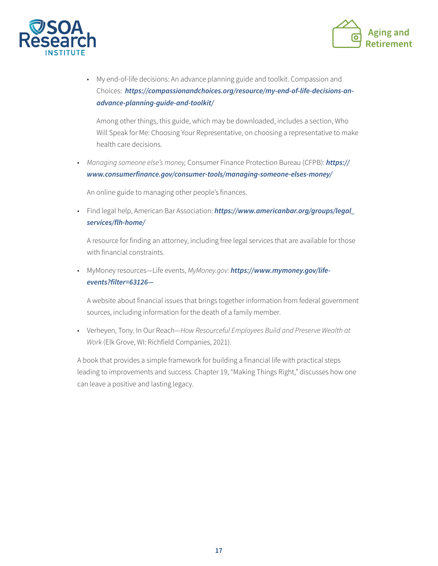



• My end-of-life decisions: An advance planning guide and toolkit. Compassion and Choices: *[https://compassionandchoices.org/resource/my-end-of-life-decisions-an](https://compassionandchoices.org/resource/my-end-of-life-decisions-an-advance-planning-guide-and-toolkit/)[advance-planning-guide-and-toolkit/](https://compassionandchoices.org/resource/my-end-of-life-decisions-an-advance-planning-guide-and-toolkit/)*

 Among other things, this guide, which may be downloaded, includes a section, Who Will Speak for Me: Choosing Your Representative, on choosing a representative to make health care decisions.

• *Managing someone else's money,* Consumer Finance Protection Bureau (CFPB): *[https://](https://www.consumerfinance.gov/consumer-tools/managing-someone-elses-money/) [www.consumerfinance.gov/consumer-tools/managing-someone-elses-money/](https://www.consumerfinance.gov/consumer-tools/managing-someone-elses-money/)*

An online guide to managing other people's finances.

• Find legal help, American Bar Association: *[https://www.americanbar.org/groups/legal\\_](https://www.americanbar.org/groups/legal_services/flh-home/) [services/flh-home/](https://www.americanbar.org/groups/legal_services/flh-home/)*

 A resource for finding an attorney, including free legal services that are available for those with financial constraints.

• MyMoney resources—Life events, *MyMoney.gov: [https://www.mymoney.gov/life](https://www.mymoney.gov/life-events?filter=63126-)[events?filter=63126—](https://www.mymoney.gov/life-events?filter=63126-)*

 A website about financial issues that brings together information from federal government sources, including information for the death of a family member.

• Verheyen, Tony. In Our Reach—*How Resourceful Employees Build and Preserve Wealth at Work* (Elk Grove, WI: Richfield Companies, 2021).

A book that provides a simple framework for building a financial life with practical steps leading to improvements and success. Chapter 19, "Making Things Right," discusses how one can leave a positive and lasting legacy.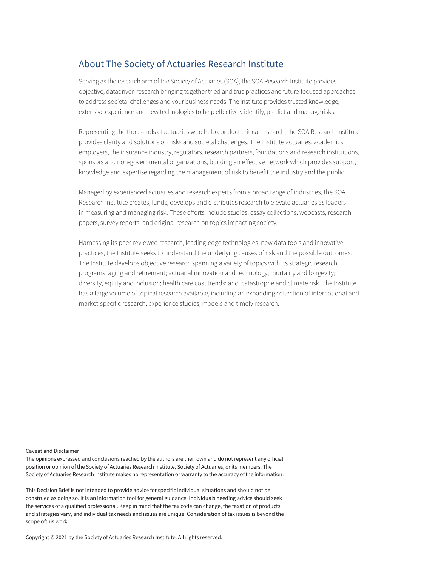### About The Society of Actuaries Research Institute

Serving as the research arm of the Society of Actuaries (SOA), the SOA Research Institute provides objective, datadriven research bringing together tried and true practices and future-focused approaches to address societal challenges and your business needs. The Institute provides trusted knowledge, extensive experience and new technologies to help effectively identify, predict and manage risks.

Representing the thousands of actuaries who help conduct critical research, the SOA Research Institute provides clarity and solutions on risks and societal challenges. The Institute actuaries, academics, employers, the insurance industry, regulators, research partners, foundations and research institutions, sponsors and non-governmental organizations, building an effective network which provides support, knowledge and expertise regarding the management of risk to benefit the industry and the public.

Managed by experienced actuaries and research experts from a broad range of industries, the SOA Research Institute creates, funds, develops and distributes research to elevate actuaries as leaders in measuring and managing risk. These efforts include studies, essay collections, webcasts, research papers, survey reports, and original research on topics impacting society.

Harnessing its peer-reviewed research, leading-edge technologies, new data tools and innovative practices, the Institute seeks to understand the underlying causes of risk and the possible outcomes. The Institute develops objective research spanning a variety of topics with its strategic research programs: aging and retirement; actuarial innovation and technology; mortality and longevity; diversity, equity and inclusion; health care cost trends; and catastrophe and climate risk. The Institute has a large volume of topical research available, including an expanding collection of international and market-specific research, experience studies, models and timely research.

Caveat and Disclaimer

The opinions expressed and conclusions reached by the authors are their own and do not represent any official position or opinion of the Society of Actuaries Research Institute, Society of Actuaries, or its members. The Society of Actuaries Research Institute makes no representation or warranty to the accuracy of the information.

This Decision Brief is not intended to provide advice for specific individual situations and should not be construed as doing so. It is an information tool for general guidance. Individuals needing advice should seek the services of a qualified professional. Keep in mind that the tax code can change, the taxation of products and strategies vary, and individual tax needs and issues are unique. Consideration of tax issues is beyond the scope ofthis work.

Copyright © 2021 by the Society of Actuaries Research Institute. All rights reserved.